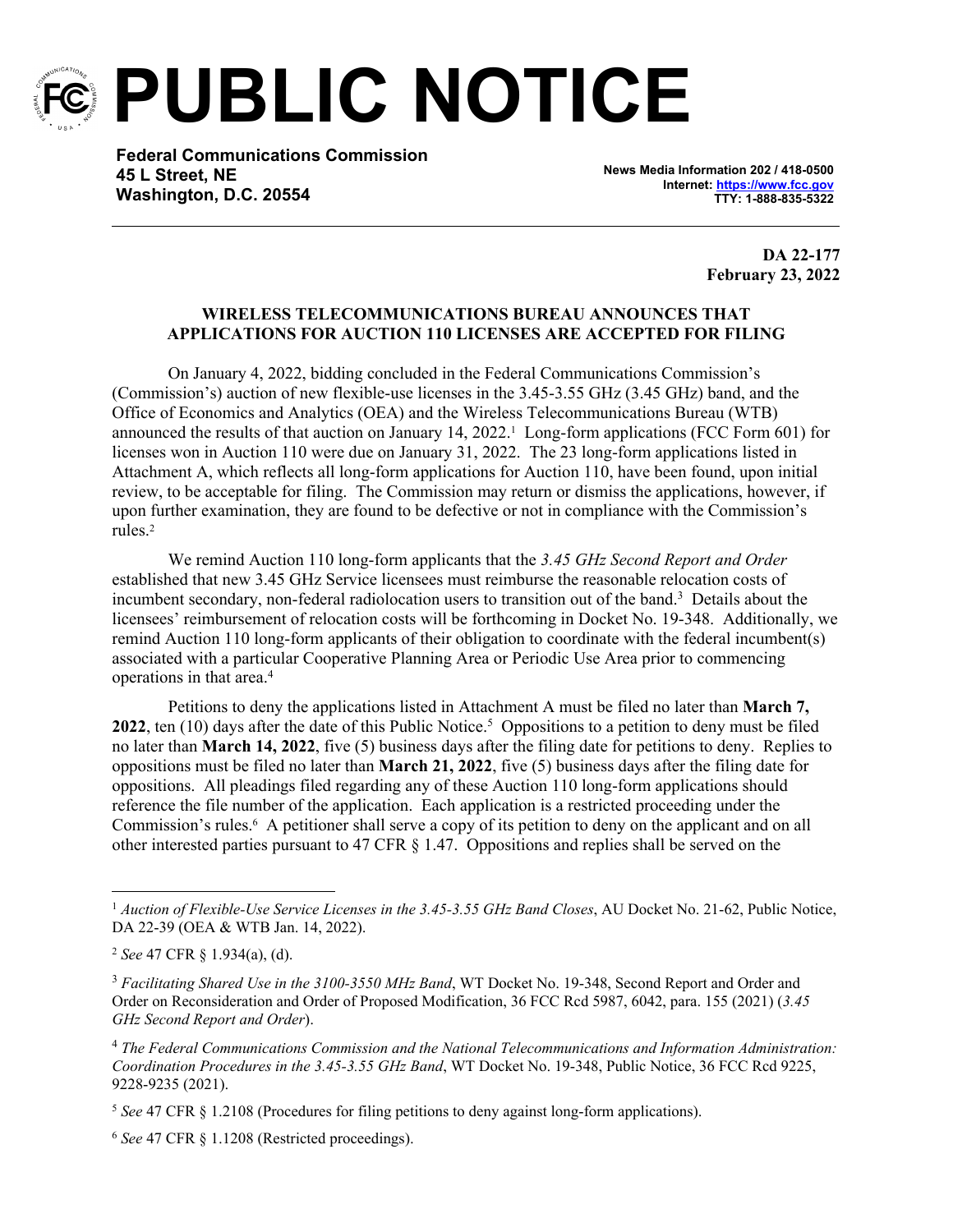

**PUBLIC NOTICE**

**Federal Communications Commission 45 L Street, NE Washington, D.C. 20554**

**News Media Information 202 / 418-0500 Internet:<https://www.fcc.gov> TTY: 1-888-835-5322**

> **DA 22-177 February 23, 2022**

## **WIRELESS TELECOMMUNICATIONS BUREAU ANNOUNCES THAT APPLICATIONS FOR AUCTION 110 LICENSES ARE ACCEPTED FOR FILING**

On January 4, 2022, bidding concluded in the Federal Communications Commission's (Commission's) auction of new flexible-use licenses in the 3.45-3.55 GHz (3.45 GHz) band, and the Office of Economics and Analytics (OEA) and the Wireless Telecommunications Bureau (WTB) announced the results of that auction on January 14, 2022.<sup>1</sup> Long-form applications (FCC Form 601) for licenses won in Auction 110 were due on January 31, 2022. The 23 long-form applications listed in Attachment A, which reflects all long-form applications for Auction 110, have been found, upon initial review, to be acceptable for filing. The Commission may return or dismiss the applications, however, if upon further examination, they are found to be defective or not in compliance with the Commission's rules.<sup>2</sup>

We remind Auction 110 long-form applicants that the *3.45 GHz Second Report and Order* established that new 3.45 GHz Service licensees must reimburse the reasonable relocation costs of incumbent secondary, non-federal radiolocation users to transition out of the band.<sup>3</sup> Details about the licensees' reimbursement of relocation costs will be forthcoming in Docket No. 19-348. Additionally, we remind Auction 110 long-form applicants of their obligation to coordinate with the federal incumbent(s) associated with a particular Cooperative Planning Area or Periodic Use Area prior to commencing operations in that area.<sup>4</sup>

Petitions to deny the applications listed in Attachment A must be filed no later than **March 7,**  2022, ten (10) days after the date of this Public Notice.<sup>5</sup> Oppositions to a petition to deny must be filed no later than **March 14, 2022**, five (5) business days after the filing date for petitions to deny. Replies to oppositions must be filed no later than **March 21, 2022**, five (5) business days after the filing date for oppositions. All pleadings filed regarding any of these Auction 110 long-form applications should reference the file number of the application. Each application is a restricted proceeding under the Commission's rules.<sup>6</sup> A petitioner shall serve a copy of its petition to deny on the applicant and on all other interested parties pursuant to 47 CFR § 1.47. Oppositions and replies shall be served on the

<sup>1</sup> *Auction of Flexible-Use Service Licenses in the 3.45-3.55 GHz Band Closes*, AU Docket No. 21-62, Public Notice, DA 22-39 (OEA & WTB Jan. 14, 2022).

<sup>2</sup> *See* 47 CFR § 1.934(a), (d).

<sup>3</sup> *Facilitating Shared Use in the 3100-3550 MHz Band*, WT Docket No. 19-348, Second Report and Order and Order on Reconsideration and Order of Proposed Modification, 36 FCC Rcd 5987, 6042, para. 155 (2021) (*3.45 GHz Second Report and Order*).

<sup>4</sup> *The Federal Communications Commission and the National Telecommunications and Information Administration: Coordination Procedures in the 3.45-3.55 GHz Band*, WT Docket No. 19-348, Public Notice, 36 FCC Rcd 9225, 9228-9235 (2021).

<sup>5</sup> *See* 47 CFR § 1.2108 (Procedures for filing petitions to deny against long-form applications).

<sup>6</sup> *See* 47 CFR § 1.1208 (Restricted proceedings).